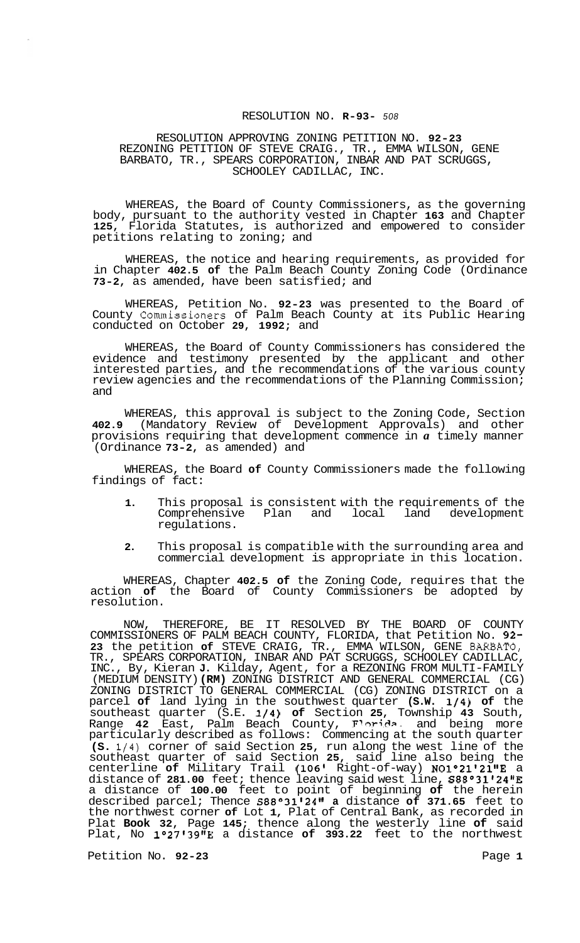## RESOLUTION NO. **R-93-** *<sup>508</sup>*

RESOLUTION APPROVING ZONING PETITION NO. **92-23**  REZONING PETITION OF STEVE CRAIG., TR., EMMA WILSON, GENE BARBATO, TR., SPEARS CORPORATION, INBAR AND PAT SCRUGGS, SCHOOLEY CADILLAC, INC.

WHEREAS, the Board of County Commissioners, as the governing body, pursuant to the authority vested in Chapter **163** and Chapter **125,** Florida Statutes, is authorized and empowered to consider petitions relating to zoning; and

WHEREAS, the notice and hearing requirements, as provided for in Chapter **402.5 of** the Palm Beach County Zoning Code (Ordinance **73-2,** as amended, have been satisfied; and

WHEREAS, Petition No. **92-23** was presented to the Board of County Commissioners of Palm Beach County at its Public Hearing conducted on October **29, 1992;** and

WHEREAS, the Board of County Commissioners has considered the evidence and testimony presented by the applicant and other interested parties, and the recommendations of the various county review agencies and the recommendations of the Planning Commission; and

WHEREAS, this approval is subject to the Zoning Code, Section **402.9** (Mandatory Review of Development Approvals) and other provisions requiring that development commence in *a* timely manner (Ordinance **73-2,** as amended) and

WHEREAS, the Board **of** County Commissioners made the following findings of fact:

- **1.** This proposal is consistent with the requirements of the Comprehensive Plan and local regulations.
- **2.** This proposal is compatible with the surrounding area and commercial development is appropriate in this location.

WHEREAS, Chapter **402.5 of** the Zoning Code, requires that the action **of** the Board of County Commissioners be adopted by resolution.

NOW, THEREFORE, BE IT RESOLVED BY THE BOARD OF COUNTY COMMISSIONERS OF PALM BEACH COUNTY, FLORIDA, that Petition No. **92- 23** the petition **of** STEVE CRAIG, TR., EMMA WILSON, GENE BARBATO, TR., SPEARS CORPORATION, INBAR AND PAT SCRUGGS, SCHOOLEY CADILLAC, INC., By, Kieran **J.** Kilday, Agent, for a REZONING FROM MULTI-FAMILY (MEDIUM DENSITY) **(RM)** ZONING DISTRICT AND GENERAL COMMERCIAL (CG) ZONING DISTRICT TO GENERAL COMMERCIAL (CG) ZONING DISTRICT on a parcel **of** land lying in the southwest quarter **(S.W. 1/4) of** the southeast quarter (S.E. **1/4) of** Section **25,** Township **43** South, Range **42** East, Palm Beach County, **F'w-ic?ap** and being more particularly described as follows: Commencing at the south quarter **(S. 1/4)** corner of said Section **25,** run along the west line of the southeast quarter of said Section **25,** said line also being the centerline **of** Military Trail **(106'** Right-of-way) **N0l021'2l1IE** a distance of **281.00** feet; thence leaving said west line, **S88°31t24'1E**  a distance of **100.00** feet to point of beginning **of** the herein described parcel; Thence **S88O31'24" a** distance **of 371.65** feet to the northwest corner **of** Lot **1,** Plat of Central Bank, as recorded in Plat **Book 32,** Page **145;** thence along the westerly line **of** said Plat, No **1°27139ttE** a distance **of 393.22** feet to the northwest

Petition No. **92-23** Page **1**